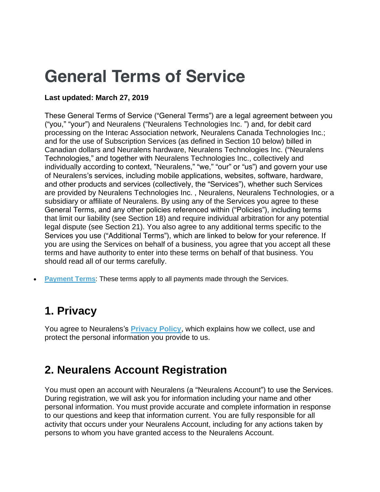# **General Terms of Service**

#### **Last updated: March 27, 2019**

These General Terms of Service ("General Terms") are a legal agreement between you ("you," "your") and Neuralens ("Neuralens Technologies Inc. ") and, for debit card processing on the Interac Association network, Neuralens Canada Technologies Inc.; and for the use of Subscription Services (as defined in Section 10 below) billed in Canadian dollars and Neuralens hardware, Neuralens Technologies Inc. ("Neuralens Technologies," and together with Neuralens Technologies Inc., collectively and individually according to context, "Neuralens," "we," "our" or "us") and govern your use of Neuralens's services, including mobile applications, websites, software, hardware, and other products and services (collectively, the "Services"), whether such Services are provided by Neuralens Technologies Inc. , Neuralens, Neuralens Technologies, or a subsidiary or affiliate of Neuralens. By using any of the Services you agree to these General Terms, and any other policies referenced within ("Policies"), including terms that limit our liability (see Section 18) and require individual arbitration for any potential legal dispute (see Section 21). You also agree to any additional terms specific to the Services you use ("Additional Terms"), which are linked to below for your reference. If you are using the Services on behalf of a business, you agree that you accept all these terms and have authority to enter into these terms on behalf of that business. You should read all of our terms carefully.

• **[Payment](https://ae17e80f-844a-49a4-99ae-e8d8999916b8.filesusr.com/ugd/acd371_d27e9b870a534ccc8df1f0493e43af9d.pdf) Terms**: These terms apply to all payments made through the Services.

# **1. Privacy**

You agree to Neuralens's **[Privacy](https://www.neuralens.io/privacy-policy) Policy**, which explains how we collect, use and protect the personal information you provide to us.

# **2. Neuralens Account Registration**

You must open an account with Neuralens (a "Neuralens Account") to use the Services. During registration, we will ask you for information including your name and other personal information. You must provide accurate and complete information in response to our questions and keep that information current. You are fully responsible for all activity that occurs under your Neuralens Account, including for any actions taken by persons to whom you have granted access to the Neuralens Account.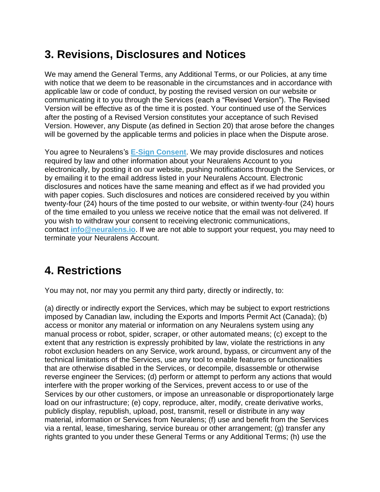## **3. Revisions, Disclosures and Notices**

We may amend the General Terms, any Additional Terms, or our Policies, at any time with notice that we deem to be reasonable in the circumstances and in accordance with applicable law or code of conduct, by posting the revised version on our website or communicating it to you through the Services (each a "Revised Version"). The Revised Version will be effective as of the time it is posted. Your continued use of the Services after the posting of a Revised Version constitutes your acceptance of such Revised Version. However, any Dispute (as defined in Section 20) that arose before the changes will be governed by the applicable terms and policies in place when the Dispute arose.

You agree to Neuralens's **E-Sign [Consent](https://www.neuralens.io/esign)**. We may provide disclosures and notices required by law and other information about your Neuralens Account to you electronically, by posting it on our website, pushing notifications through the Services, or by emailing it to the email address listed in your Neuralens Account. Electronic disclosures and notices have the same meaning and effect as if we had provided you with paper copies. Such disclosures and notices are considered received by you within twenty-four (24) hours of the time posted to our website, or within twenty-four (24) hours of the time emailed to you unless we receive notice that the email was not delivered. If you wish to withdraw your consent to receiving electronic communications, contact **[info@neuralens.io](mailto:info@neuralens.io)**. If we are not able to support your request, you may need to terminate your Neuralens Account.

#### **4. Restrictions**

You may not, nor may you permit any third party, directly or indirectly, to:

(a) directly or indirectly export the Services, which may be subject to export restrictions imposed by Canadian law, including the Exports and Imports Permit Act (Canada); (b) access or monitor any material or information on any Neuralens system using any manual process or robot, spider, scraper, or other automated means; (c) except to the extent that any restriction is expressly prohibited by law, violate the restrictions in any robot exclusion headers on any Service, work around, bypass, or circumvent any of the technical limitations of the Services, use any tool to enable features or functionalities that are otherwise disabled in the Services, or decompile, disassemble or otherwise reverse engineer the Services; (d) perform or attempt to perform any actions that would interfere with the proper working of the Services, prevent access to or use of the Services by our other customers, or impose an unreasonable or disproportionately large load on our infrastructure; (e) copy, reproduce, alter, modify, create derivative works, publicly display, republish, upload, post, transmit, resell or distribute in any way material, information or Services from Neuralens; (f) use and benefit from the Services via a rental, lease, timesharing, service bureau or other arrangement; (g) transfer any rights granted to you under these General Terms or any Additional Terms; (h) use the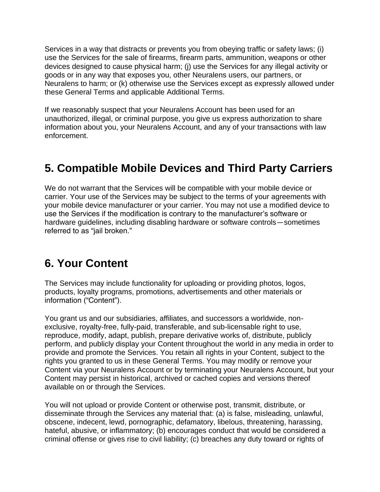Services in a way that distracts or prevents you from obeying traffic or safety laws; (i) use the Services for the sale of firearms, firearm parts, ammunition, weapons or other devices designed to cause physical harm; (j) use the Services for any illegal activity or goods or in any way that exposes you, other Neuralens users, our partners, or Neuralens to harm; or (k) otherwise use the Services except as expressly allowed under these General Terms and applicable Additional Terms.

If we reasonably suspect that your Neuralens Account has been used for an unauthorized, illegal, or criminal purpose, you give us express authorization to share information about you, your Neuralens Account, and any of your transactions with law enforcement.

#### **5. Compatible Mobile Devices and Third Party Carriers**

We do not warrant that the Services will be compatible with your mobile device or carrier. Your use of the Services may be subject to the terms of your agreements with your mobile device manufacturer or your carrier. You may not use a modified device to use the Services if the modification is contrary to the manufacturer's software or hardware guidelines, including disabling hardware or software controls—sometimes referred to as "jail broken."

#### **6. Your Content**

The Services may include functionality for uploading or providing photos, logos, products, loyalty programs, promotions, advertisements and other materials or information ("Content").

You grant us and our subsidiaries, affiliates, and successors a worldwide, nonexclusive, royalty-free, fully-paid, transferable, and sub-licensable right to use, reproduce, modify, adapt, publish, prepare derivative works of, distribute, publicly perform, and publicly display your Content throughout the world in any media in order to provide and promote the Services. You retain all rights in your Content, subject to the rights you granted to us in these General Terms. You may modify or remove your Content via your Neuralens Account or by terminating your Neuralens Account, but your Content may persist in historical, archived or cached copies and versions thereof available on or through the Services.

You will not upload or provide Content or otherwise post, transmit, distribute, or disseminate through the Services any material that: (a) is false, misleading, unlawful, obscene, indecent, lewd, pornographic, defamatory, libelous, threatening, harassing, hateful, abusive, or inflammatory; (b) encourages conduct that would be considered a criminal offense or gives rise to civil liability; (c) breaches any duty toward or rights of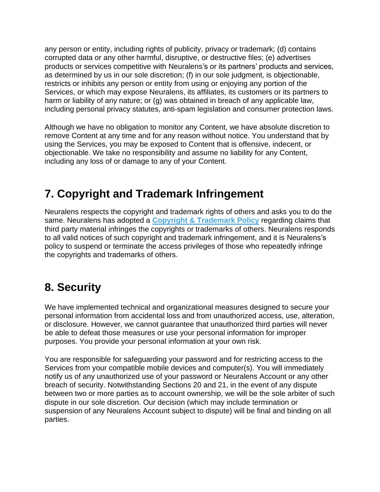any person or entity, including rights of publicity, privacy or trademark; (d) contains corrupted data or any other harmful, disruptive, or destructive files; (e) advertises products or services competitive with Neuralens's or its partners' products and services, as determined by us in our sole discretion; (f) in our sole judgment, is objectionable, restricts or inhibits any person or entity from using or enjoying any portion of the Services, or which may expose Neuralens, its affiliates, its customers or its partners to harm or liability of any nature; or (g) was obtained in breach of any applicable law, including personal privacy statutes, anti-spam legislation and consumer protection laws.

Although we have no obligation to monitor any Content, we have absolute discretion to remove Content at any time and for any reason without notice. You understand that by using the Services, you may be exposed to Content that is offensive, indecent, or objectionable. We take no responsibility and assume no liability for any Content, including any loss of or damage to any of your Content.

# **7. Copyright and Trademark Infringement**

Neuralens respects the copyright and trademark rights of others and asks you to do the same. Neuralens has adopted a **Copyright & [Trademark](https://www.neuralens.io/copyright) Policy** regarding claims that third party material infringes the copyrights or trademarks of others. Neuralens responds to all valid notices of such copyright and trademark infringement, and it is Neuralens's policy to suspend or terminate the access privileges of those who repeatedly infringe the copyrights and trademarks of others.

# **8. Security**

We have implemented technical and organizational measures designed to secure your personal information from accidental loss and from unauthorized access, use, alteration, or disclosure. However, we cannot guarantee that unauthorized third parties will never be able to defeat those measures or use your personal information for improper purposes. You provide your personal information at your own risk.

You are responsible for safeguarding your password and for restricting access to the Services from your compatible mobile devices and computer(s). You will immediately notify us of any unauthorized use of your password or Neuralens Account or any other breach of security. Notwithstanding Sections 20 and 21, in the event of any dispute between two or more parties as to account ownership, we will be the sole arbiter of such dispute in our sole discretion. Our decision (which may include termination or suspension of any Neuralens Account subject to dispute) will be final and binding on all parties.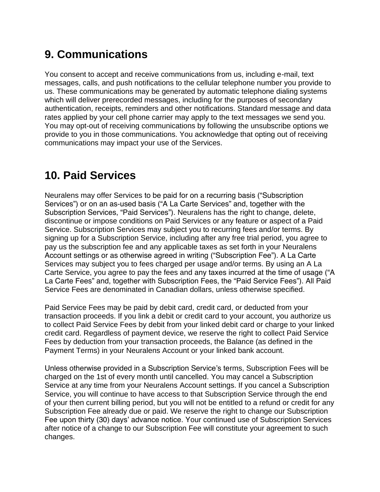# **9. Communications**

You consent to accept and receive communications from us, including e-mail, text messages, calls, and push notifications to the cellular telephone number you provide to us. These communications may be generated by automatic telephone dialing systems which will deliver prerecorded messages, including for the purposes of secondary authentication, receipts, reminders and other notifications. Standard message and data rates applied by your cell phone carrier may apply to the text messages we send you. You may opt-out of receiving communications by following the unsubscribe options we provide to you in those communications. You acknowledge that opting out of receiving communications may impact your use of the Services.

#### **10. Paid Services**

Neuralens may offer Services to be paid for on a recurring basis ("Subscription Services") or on an as-used basis ("A La Carte Services" and, together with the Subscription Services, "Paid Services"). Neuralens has the right to change, delete, discontinue or impose conditions on Paid Services or any feature or aspect of a Paid Service. Subscription Services may subject you to recurring fees and/or terms. By signing up for a Subscription Service, including after any free trial period, you agree to pay us the subscription fee and any applicable taxes as set forth in your Neuralens Account settings or as otherwise agreed in writing ("Subscription Fee"). A La Carte Services may subject you to fees charged per usage and/or terms. By using an A La Carte Service, you agree to pay the fees and any taxes incurred at the time of usage ("A La Carte Fees" and, together with Subscription Fees, the "Paid Service Fees"). All Paid Service Fees are denominated in Canadian dollars, unless otherwise specified.

Paid Service Fees may be paid by debit card, credit card, or deducted from your transaction proceeds. If you link a debit or credit card to your account, you authorize us to collect Paid Service Fees by debit from your linked debit card or charge to your linked credit card. Regardless of payment device, we reserve the right to collect Paid Service Fees by deduction from your transaction proceeds, the Balance (as defined in the Payment Terms) in your Neuralens Account or your linked bank account.

Unless otherwise provided in a Subscription Service's terms, Subscription Fees will be charged on the 1st of every month until cancelled. You may cancel a Subscription Service at any time from your Neuralens Account settings. If you cancel a Subscription Service, you will continue to have access to that Subscription Service through the end of your then current billing period, but you will not be entitled to a refund or credit for any Subscription Fee already due or paid. We reserve the right to change our Subscription Fee upon thirty (30) days' advance notice. Your continued use of Subscription Services after notice of a change to our Subscription Fee will constitute your agreement to such changes.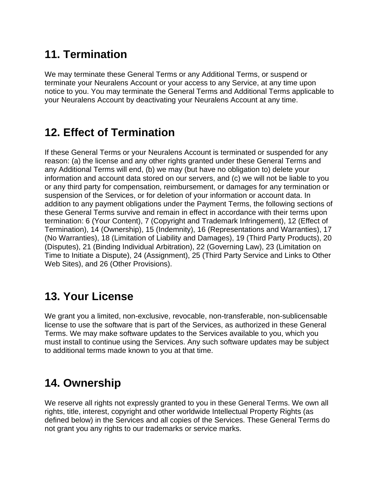# **11. Termination**

We may terminate these General Terms or any Additional Terms, or suspend or terminate your Neuralens Account or your access to any Service, at any time upon notice to you. You may terminate the General Terms and Additional Terms applicable to your Neuralens Account by deactivating your Neuralens Account at any time.

#### **12. Effect of Termination**

If these General Terms or your Neuralens Account is terminated or suspended for any reason: (a) the license and any other rights granted under these General Terms and any Additional Terms will end, (b) we may (but have no obligation to) delete your information and account data stored on our servers, and (c) we will not be liable to you or any third party for compensation, reimbursement, or damages for any termination or suspension of the Services, or for deletion of your information or account data. In addition to any payment obligations under the Payment Terms, the following sections of these General Terms survive and remain in effect in accordance with their terms upon termination: 6 (Your Content), 7 (Copyright and Trademark Infringement), 12 (Effect of Termination), 14 (Ownership), 15 (Indemnity), 16 (Representations and Warranties), 17 (No Warranties), 18 (Limitation of Liability and Damages), 19 (Third Party Products), 20 (Disputes), 21 (Binding Individual Arbitration), 22 (Governing Law), 23 (Limitation on Time to Initiate a Dispute), 24 (Assignment), 25 (Third Party Service and Links to Other Web Sites), and 26 (Other Provisions).

#### **13. Your License**

We grant you a limited, non-exclusive, revocable, non-transferable, non-sublicensable license to use the software that is part of the Services, as authorized in these General Terms. We may make software updates to the Services available to you, which you must install to continue using the Services. Any such software updates may be subject to additional terms made known to you at that time.

# **14. Ownership**

We reserve all rights not expressly granted to you in these General Terms. We own all rights, title, interest, copyright and other worldwide Intellectual Property Rights (as defined below) in the Services and all copies of the Services. These General Terms do not grant you any rights to our trademarks or service marks.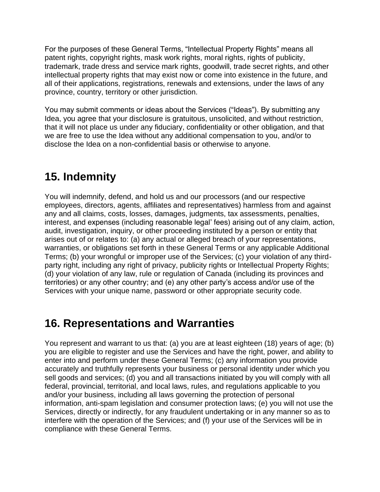For the purposes of these General Terms, "Intellectual Property Rights" means all patent rights, copyright rights, mask work rights, moral rights, rights of publicity, trademark, trade dress and service mark rights, goodwill, trade secret rights, and other intellectual property rights that may exist now or come into existence in the future, and all of their applications, registrations, renewals and extensions, under the laws of any province, country, territory or other jurisdiction.

You may submit comments or ideas about the Services ("Ideas"). By submitting any Idea, you agree that your disclosure is gratuitous, unsolicited, and without restriction, that it will not place us under any fiduciary, confidentiality or other obligation, and that we are free to use the Idea without any additional compensation to you, and/or to disclose the Idea on a non-confidential basis or otherwise to anyone.

# **15. Indemnity**

You will indemnify, defend, and hold us and our processors (and our respective employees, directors, agents, affiliates and representatives) harmless from and against any and all claims, costs, losses, damages, judgments, tax assessments, penalties, interest, and expenses (including reasonable legal' fees) arising out of any claim, action, audit, investigation, inquiry, or other proceeding instituted by a person or entity that arises out of or relates to: (a) any actual or alleged breach of your representations, warranties, or obligations set forth in these General Terms or any applicable Additional Terms; (b) your wrongful or improper use of the Services; (c) your violation of any thirdparty right, including any right of privacy, publicity rights or Intellectual Property Rights; (d) your violation of any law, rule or regulation of Canada (including its provinces and territories) or any other country; and (e) any other party's access and/or use of the Services with your unique name, password or other appropriate security code.

#### **16. Representations and Warranties**

You represent and warrant to us that: (a) you are at least eighteen (18) years of age; (b) you are eligible to register and use the Services and have the right, power, and ability to enter into and perform under these General Terms; (c) any information you provide accurately and truthfully represents your business or personal identity under which you sell goods and services; (d) you and all transactions initiated by you will comply with all federal, provincial, territorial, and local laws, rules, and regulations applicable to you and/or your business, including all laws governing the protection of personal information, anti-spam legislation and consumer protection laws; (e) you will not use the Services, directly or indirectly, for any fraudulent undertaking or in any manner so as to interfere with the operation of the Services; and (f) your use of the Services will be in compliance with these General Terms.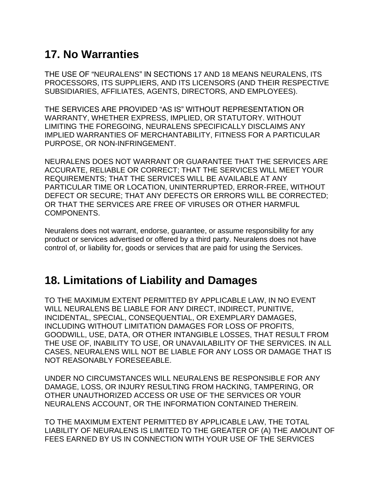### **17. No Warranties**

THE USE OF "NEURALENS" IN SECTIONS 17 AND 18 MEANS NEURALENS, ITS PROCESSORS, ITS SUPPLIERS, AND ITS LICENSORS (AND THEIR RESPECTIVE SUBSIDIARIES, AFFILIATES, AGENTS, DIRECTORS, AND EMPLOYEES).

THE SERVICES ARE PROVIDED "AS IS" WITHOUT REPRESENTATION OR WARRANTY, WHETHER EXPRESS, IMPLIED, OR STATUTORY. WITHOUT LIMITING THE FOREGOING, NEURALENS SPECIFICALLY DISCLAIMS ANY IMPLIED WARRANTIES OF MERCHANTABILITY, FITNESS FOR A PARTICULAR PURPOSE, OR NON-INFRINGEMENT.

NEURALENS DOES NOT WARRANT OR GUARANTEE THAT THE SERVICES ARE ACCURATE, RELIABLE OR CORRECT; THAT THE SERVICES WILL MEET YOUR REQUIREMENTS; THAT THE SERVICES WILL BE AVAILABLE AT ANY PARTICULAR TIME OR LOCATION, UNINTERRUPTED, ERROR-FREE, WITHOUT DEFECT OR SECURE; THAT ANY DEFECTS OR ERRORS WILL BE CORRECTED; OR THAT THE SERVICES ARE FREE OF VIRUSES OR OTHER HARMFUL COMPONENTS.

Neuralens does not warrant, endorse, guarantee, or assume responsibility for any product or services advertised or offered by a third party. Neuralens does not have control of, or liability for, goods or services that are paid for using the Services.

#### **18. Limitations of Liability and Damages**

TO THE MAXIMUM EXTENT PERMITTED BY APPLICABLE LAW, IN NO EVENT WILL NEURALENS BE LIABLE FOR ANY DIRECT, INDIRECT, PUNITIVE, INCIDENTAL, SPECIAL, CONSEQUENTIAL, OR EXEMPLARY DAMAGES, INCLUDING WITHOUT LIMITATION DAMAGES FOR LOSS OF PROFITS, GOODWILL, USE, DATA, OR OTHER INTANGIBLE LOSSES, THAT RESULT FROM THE USE OF, INABILITY TO USE, OR UNAVAILABILITY OF THE SERVICES. IN ALL CASES, NEURALENS WILL NOT BE LIABLE FOR ANY LOSS OR DAMAGE THAT IS NOT REASONABLY FORESEEABLE.

UNDER NO CIRCUMSTANCES WILL NEURALENS BE RESPONSIBLE FOR ANY DAMAGE, LOSS, OR INJURY RESULTING FROM HACKING, TAMPERING, OR OTHER UNAUTHORIZED ACCESS OR USE OF THE SERVICES OR YOUR NEURALENS ACCOUNT, OR THE INFORMATION CONTAINED THEREIN.

TO THE MAXIMUM EXTENT PERMITTED BY APPLICABLE LAW, THE TOTAL LIABILITY OF NEURALENS IS LIMITED TO THE GREATER OF (A) THE AMOUNT OF FEES EARNED BY US IN CONNECTION WITH YOUR USE OF THE SERVICES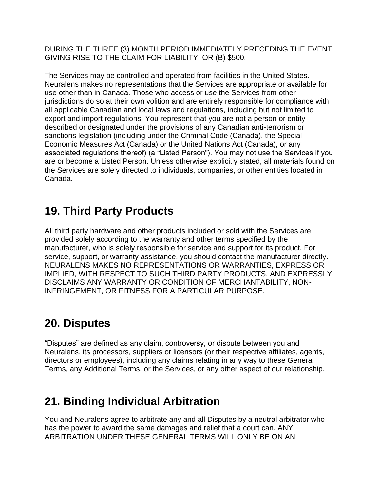DURING THE THREE (3) MONTH PERIOD IMMEDIATELY PRECEDING THE EVENT GIVING RISE TO THE CLAIM FOR LIABILITY, OR (B) \$500.

The Services may be controlled and operated from facilities in the United States. Neuralens makes no representations that the Services are appropriate or available for use other than in Canada. Those who access or use the Services from other jurisdictions do so at their own volition and are entirely responsible for compliance with all applicable Canadian and local laws and regulations, including but not limited to export and import regulations. You represent that you are not a person or entity described or designated under the provisions of any Canadian anti-terrorism or sanctions legislation (including under the Criminal Code (Canada), the Special Economic Measures Act (Canada) or the United Nations Act (Canada), or any associated regulations thereof) (a "Listed Person"). You may not use the Services if you are or become a Listed Person. Unless otherwise explicitly stated, all materials found on the Services are solely directed to individuals, companies, or other entities located in Canada.

#### **19. Third Party Products**

All third party hardware and other products included or sold with the Services are provided solely according to the warranty and other terms specified by the manufacturer, who is solely responsible for service and support for its product. For service, support, or warranty assistance, you should contact the manufacturer directly. NEURALENS MAKES NO REPRESENTATIONS OR WARRANTIES, EXPRESS OR IMPLIED, WITH RESPECT TO SUCH THIRD PARTY PRODUCTS, AND EXPRESSLY DISCLAIMS ANY WARRANTY OR CONDITION OF MERCHANTABILITY, NON-INFRINGEMENT, OR FITNESS FOR A PARTICULAR PURPOSE.

#### **20. Disputes**

"Disputes" are defined as any claim, controversy, or dispute between you and Neuralens, its processors, suppliers or licensors (or their respective affiliates, agents, directors or employees), including any claims relating in any way to these General Terms, any Additional Terms, or the Services, or any other aspect of our relationship.

# **21. Binding Individual Arbitration**

You and Neuralens agree to arbitrate any and all Disputes by a neutral arbitrator who has the power to award the same damages and relief that a court can. ANY ARBITRATION UNDER THESE GENERAL TERMS WILL ONLY BE ON AN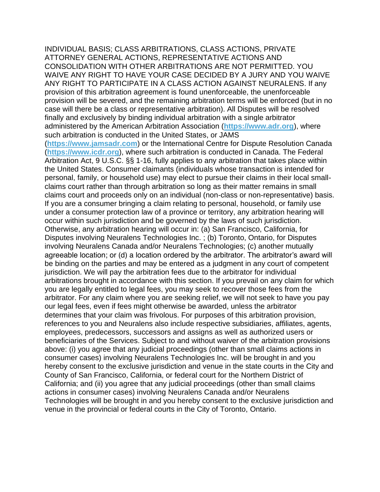INDIVIDUAL BASIS; CLASS ARBITRATIONS, CLASS ACTIONS, PRIVATE ATTORNEY GENERAL ACTIONS, REPRESENTATIVE ACTIONS AND CONSOLIDATION WITH OTHER ARBITRATIONS ARE NOT PERMITTED. YOU WAIVE ANY RIGHT TO HAVE YOUR CASE DECIDED BY A JURY AND YOU WAIVE ANY RIGHT TO PARTICIPATE IN A CLASS ACTION AGAINST NEURALENS. If any provision of this arbitration agreement is found unenforceable, the unenforceable provision will be severed, and the remaining arbitration terms will be enforced (but in no case will there be a class or representative arbitration). All Disputes will be resolved finally and exclusively by binding individual arbitration with a single arbitrator administered by the American Arbitration Association (**[https://www.adr.org](https://www.adr.org/)**), where such arbitration is conducted in the United States, or JAMS

(**[https://www.jamsadr.com](https://www.jamsadr.com/)**) or the International Centre for Dispute Resolution Canada (**[https://www.icdr.org](https://www.icdr.org/)**), where such arbitration is conducted in Canada. The Federal Arbitration Act, 9 U.S.C. §§ 1-16, fully applies to any arbitration that takes place within the United States. Consumer claimants (individuals whose transaction is intended for personal, family, or household use) may elect to pursue their claims in their local smallclaims court rather than through arbitration so long as their matter remains in small claims court and proceeds only on an individual (non-class or non-representative) basis. If you are a consumer bringing a claim relating to personal, household, or family use under a consumer protection law of a province or territory, any arbitration hearing will occur within such jurisdiction and be governed by the laws of such jurisdiction. Otherwise, any arbitration hearing will occur in: (a) San Francisco, California, for Disputes involving Neuralens Technologies Inc. ; (b) Toronto, Ontario, for Disputes involving Neuralens Canada and/or Neuralens Technologies; (c) another mutually agreeable location; or (d) a location ordered by the arbitrator. The arbitrator's award will be binding on the parties and may be entered as a judgment in any court of competent jurisdiction. We will pay the arbitration fees due to the arbitrator for individual arbitrations brought in accordance with this section. If you prevail on any claim for which you are legally entitled to legal fees, you may seek to recover those fees from the arbitrator. For any claim where you are seeking relief, we will not seek to have you pay our legal fees, even if fees might otherwise be awarded, unless the arbitrator determines that your claim was frivolous. For purposes of this arbitration provision, references to you and Neuralens also include respective subsidiaries, affiliates, agents, employees, predecessors, successors and assigns as well as authorized users or beneficiaries of the Services. Subject to and without waiver of the arbitration provisions above: (i) you agree that any judicial proceedings (other than small claims actions in consumer cases) involving Neuralens Technologies Inc. will be brought in and you hereby consent to the exclusive jurisdiction and venue in the state courts in the City and County of San Francisco, California, or federal court for the Northern District of California; and (ii) you agree that any judicial proceedings (other than small claims actions in consumer cases) involving Neuralens Canada and/or Neuralens Technologies will be brought in and you hereby consent to the exclusive jurisdiction and venue in the provincial or federal courts in the City of Toronto, Ontario.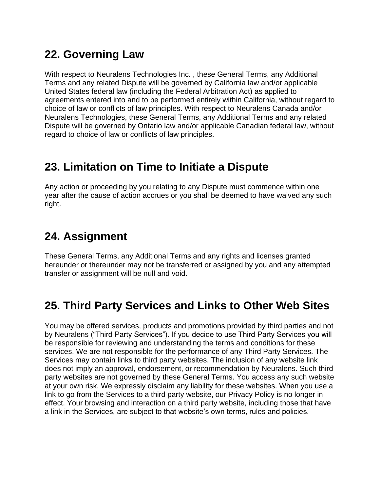# **22. Governing Law**

With respect to Neuralens Technologies Inc. , these General Terms, any Additional Terms and any related Dispute will be governed by California law and/or applicable United States federal law (including the Federal Arbitration Act) as applied to agreements entered into and to be performed entirely within California, without regard to choice of law or conflicts of law principles. With respect to Neuralens Canada and/or Neuralens Technologies, these General Terms, any Additional Terms and any related Dispute will be governed by Ontario law and/or applicable Canadian federal law, without regard to choice of law or conflicts of law principles.

#### **23. Limitation on Time to Initiate a Dispute**

Any action or proceeding by you relating to any Dispute must commence within one year after the cause of action accrues or you shall be deemed to have waived any such right.

## **24. Assignment**

These General Terms, any Additional Terms and any rights and licenses granted hereunder or thereunder may not be transferred or assigned by you and any attempted transfer or assignment will be null and void.

# **25. Third Party Services and Links to Other Web Sites**

You may be offered services, products and promotions provided by third parties and not by Neuralens ("Third Party Services"). If you decide to use Third Party Services you will be responsible for reviewing and understanding the terms and conditions for these services. We are not responsible for the performance of any Third Party Services. The Services may contain links to third party websites. The inclusion of any website link does not imply an approval, endorsement, or recommendation by Neuralens. Such third party websites are not governed by these General Terms. You access any such website at your own risk. We expressly disclaim any liability for these websites. When you use a link to go from the Services to a third party website, our Privacy Policy is no longer in effect. Your browsing and interaction on a third party website, including those that have a link in the Services, are subject to that website's own terms, rules and policies.